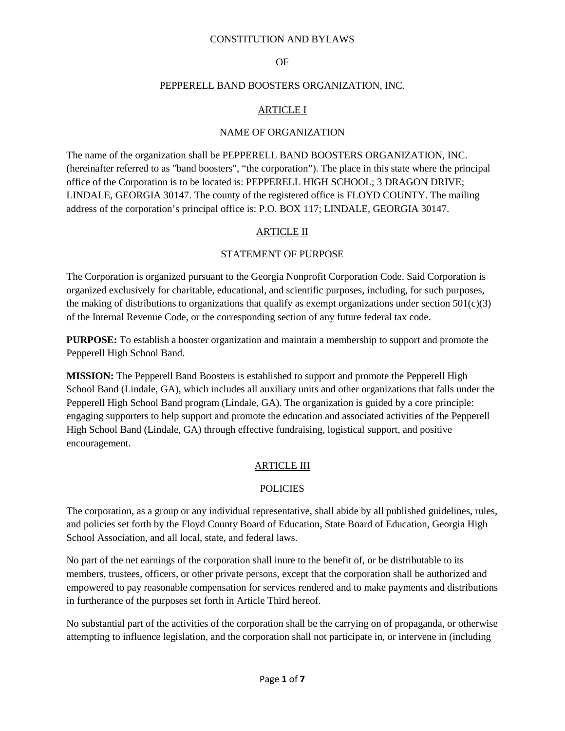### OF

#### PEPPERELL BAND BOOSTERS ORGANIZATION, INC.

### ARTICLE I

### NAME OF ORGANIZATION

The name of the organization shall be PEPPERELL BAND BOOSTERS ORGANIZATION, INC. (hereinafter referred to as "band boosters", "the corporation"). The place in this state where the principal office of the Corporation is to be located is: PEPPERELL HIGH SCHOOL; 3 DRAGON DRIVE; LINDALE, GEORGIA 30147. The county of the registered office is FLOYD COUNTY. The mailing address of the corporation's principal office is: P.O. BOX 117; LINDALE, GEORGIA 30147.

# ARTICLE II

## STATEMENT OF PURPOSE

The Corporation is organized pursuant to the Georgia Nonprofit Corporation Code. Said Corporation is organized exclusively for charitable, educational, and scientific purposes, including, for such purposes, the making of distributions to organizations that qualify as exempt organizations under section  $501(c)(3)$ of the Internal Revenue Code, or the corresponding section of any future federal tax code.

**PURPOSE:** To establish a booster organization and maintain a membership to support and promote the Pepperell High School Band.

**MISSION:** The Pepperell Band Boosters is established to support and promote the Pepperell High School Band (Lindale, GA), which includes all auxiliary units and other organizations that falls under the Pepperell High School Band program (Lindale, GA). The organization is guided by a core principle: engaging supporters to help support and promote the education and associated activities of the Pepperell High School Band (Lindale, GA) through effective fundraising, logistical support, and positive encouragement.

### ARTICLE III

### POLICIES

The corporation, as a group or any individual representative, shall abide by all published guidelines, rules, and policies set forth by the Floyd County Board of Education, State Board of Education, Georgia High School Association, and all local, state, and federal laws.

No part of the net earnings of the corporation shall inure to the benefit of, or be distributable to its members, trustees, officers, or other private persons, except that the corporation shall be authorized and empowered to pay reasonable compensation for services rendered and to make payments and distributions in furtherance of the purposes set forth in Article Third hereof.

No substantial part of the activities of the corporation shall be the carrying on of propaganda, or otherwise attempting to influence legislation, and the corporation shall not participate in, or intervene in (including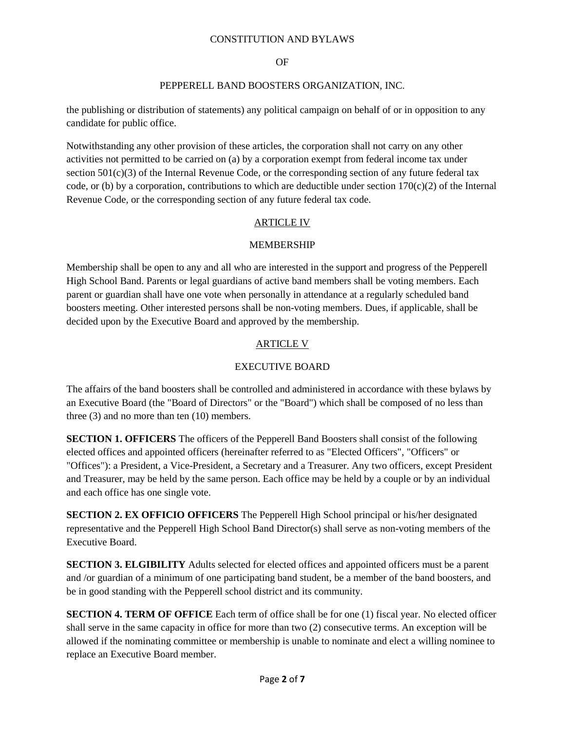### OF

### PEPPERELL BAND BOOSTERS ORGANIZATION, INC.

the publishing or distribution of statements) any political campaign on behalf of or in opposition to any candidate for public office.

Notwithstanding any other provision of these articles, the corporation shall not carry on any other activities not permitted to be carried on (a) by a corporation exempt from federal income tax under section 501(c)(3) of the Internal Revenue Code, or the corresponding section of any future federal tax code, or (b) by a corporation, contributions to which are deductible under section  $170(c)(2)$  of the Internal Revenue Code, or the corresponding section of any future federal tax code.

## ARTICLE IV

### MEMBERSHIP

Membership shall be open to any and all who are interested in the support and progress of the Pepperell High School Band. Parents or legal guardians of active band members shall be voting members. Each parent or guardian shall have one vote when personally in attendance at a regularly scheduled band boosters meeting. Other interested persons shall be non-voting members. Dues, if applicable, shall be decided upon by the Executive Board and approved by the membership.

# ARTICLE V

# EXECUTIVE BOARD

The affairs of the band boosters shall be controlled and administered in accordance with these bylaws by an Executive Board (the "Board of Directors" or the "Board") which shall be composed of no less than three (3) and no more than ten (10) members.

**SECTION 1. OFFICERS** The officers of the Pepperell Band Boosters shall consist of the following elected offices and appointed officers (hereinafter referred to as "Elected Officers", "Officers" or "Offices"): a President, a Vice-President, a Secretary and a Treasurer. Any two officers, except President and Treasurer, may be held by the same person. Each office may be held by a couple or by an individual and each office has one single vote.

**SECTION 2. EX OFFICIO OFFICERS** The Pepperell High School principal or his/her designated representative and the Pepperell High School Band Director(s) shall serve as non-voting members of the Executive Board.

**SECTION 3. ELGIBILITY** Adults selected for elected offices and appointed officers must be a parent and /or guardian of a minimum of one participating band student, be a member of the band boosters, and be in good standing with the Pepperell school district and its community.

**SECTION 4. TERM OF OFFICE** Each term of office shall be for one (1) fiscal year. No elected officer shall serve in the same capacity in office for more than two (2) consecutive terms. An exception will be allowed if the nominating committee or membership is unable to nominate and elect a willing nominee to replace an Executive Board member.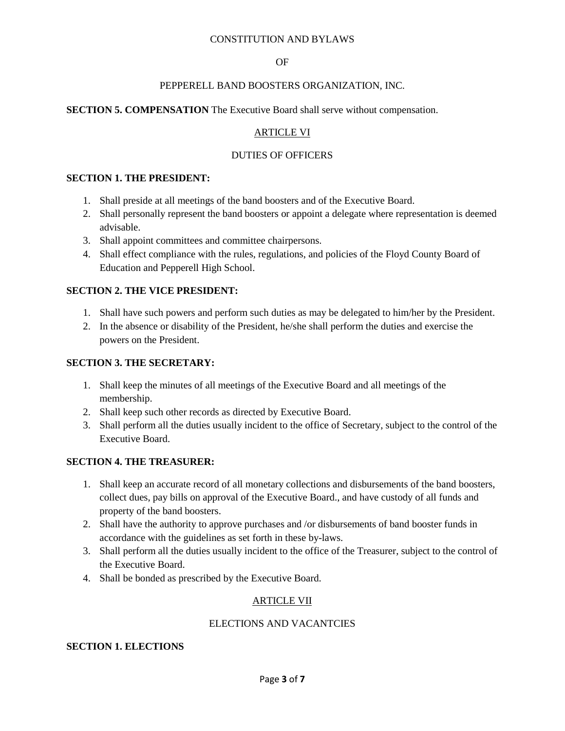### OF

### PEPPERELL BAND BOOSTERS ORGANIZATION, INC.

### **SECTION 5. COMPENSATION** The Executive Board shall serve without compensation.

# ARTICLE VI

## DUTIES OF OFFICERS

### **SECTION 1. THE PRESIDENT:**

- 1. Shall preside at all meetings of the band boosters and of the Executive Board.
- 2. Shall personally represent the band boosters or appoint a delegate where representation is deemed advisable.
- 3. Shall appoint committees and committee chairpersons.
- 4. Shall effect compliance with the rules, regulations, and policies of the Floyd County Board of Education and Pepperell High School.

### **SECTION 2. THE VICE PRESIDENT:**

- 1. Shall have such powers and perform such duties as may be delegated to him/her by the President.
- 2. In the absence or disability of the President, he/she shall perform the duties and exercise the powers on the President.

### **SECTION 3. THE SECRETARY:**

- 1. Shall keep the minutes of all meetings of the Executive Board and all meetings of the membership.
- 2. Shall keep such other records as directed by Executive Board.
- 3. Shall perform all the duties usually incident to the office of Secretary, subject to the control of the Executive Board.

### **SECTION 4. THE TREASURER:**

- 1. Shall keep an accurate record of all monetary collections and disbursements of the band boosters, collect dues, pay bills on approval of the Executive Board., and have custody of all funds and property of the band boosters.
- 2. Shall have the authority to approve purchases and /or disbursements of band booster funds in accordance with the guidelines as set forth in these by-laws.
- 3. Shall perform all the duties usually incident to the office of the Treasurer, subject to the control of the Executive Board.
- 4. Shall be bonded as prescribed by the Executive Board.

# ARTICLE VII

### ELECTIONS AND VACANTCIES

### **SECTION 1. ELECTIONS**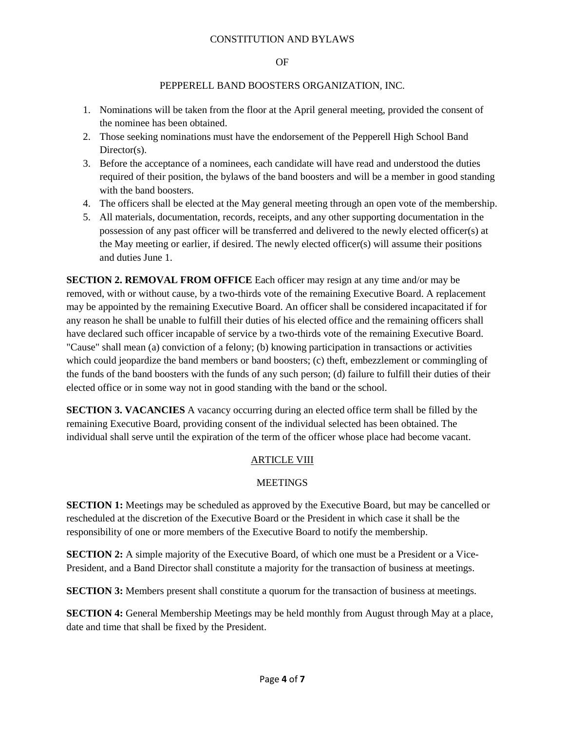#### OF

### PEPPERELL BAND BOOSTERS ORGANIZATION, INC.

- 1. Nominations will be taken from the floor at the April general meeting, provided the consent of the nominee has been obtained.
- 2. Those seeking nominations must have the endorsement of the Pepperell High School Band Director(s).
- 3. Before the acceptance of a nominees, each candidate will have read and understood the duties required of their position, the bylaws of the band boosters and will be a member in good standing with the band boosters.
- 4. The officers shall be elected at the May general meeting through an open vote of the membership.
- 5. All materials, documentation, records, receipts, and any other supporting documentation in the possession of any past officer will be transferred and delivered to the newly elected officer(s) at the May meeting or earlier, if desired. The newly elected officer(s) will assume their positions and duties June 1.

**SECTION 2. REMOVAL FROM OFFICE** Each officer may resign at any time and/or may be removed, with or without cause, by a two-thirds vote of the remaining Executive Board. A replacement may be appointed by the remaining Executive Board. An officer shall be considered incapacitated if for any reason he shall be unable to fulfill their duties of his elected office and the remaining officers shall have declared such officer incapable of service by a two-thirds vote of the remaining Executive Board. "Cause" shall mean (a) conviction of a felony; (b) knowing participation in transactions or activities which could jeopardize the band members or band boosters; (c) theft, embezzlement or commingling of the funds of the band boosters with the funds of any such person; (d) failure to fulfill their duties of their elected office or in some way not in good standing with the band or the school.

**SECTION 3. VACANCIES** A vacancy occurring during an elected office term shall be filled by the remaining Executive Board, providing consent of the individual selected has been obtained. The individual shall serve until the expiration of the term of the officer whose place had become vacant.

# ARTICLE VIII

# **MEETINGS**

**SECTION 1:** Meetings may be scheduled as approved by the Executive Board, but may be cancelled or rescheduled at the discretion of the Executive Board or the President in which case it shall be the responsibility of one or more members of the Executive Board to notify the membership.

**SECTION 2:** A simple majority of the Executive Board, of which one must be a President or a Vice-President, and a Band Director shall constitute a majority for the transaction of business at meetings.

**SECTION 3:** Members present shall constitute a quorum for the transaction of business at meetings.

**SECTION 4:** General Membership Meetings may be held monthly from August through May at a place, date and time that shall be fixed by the President.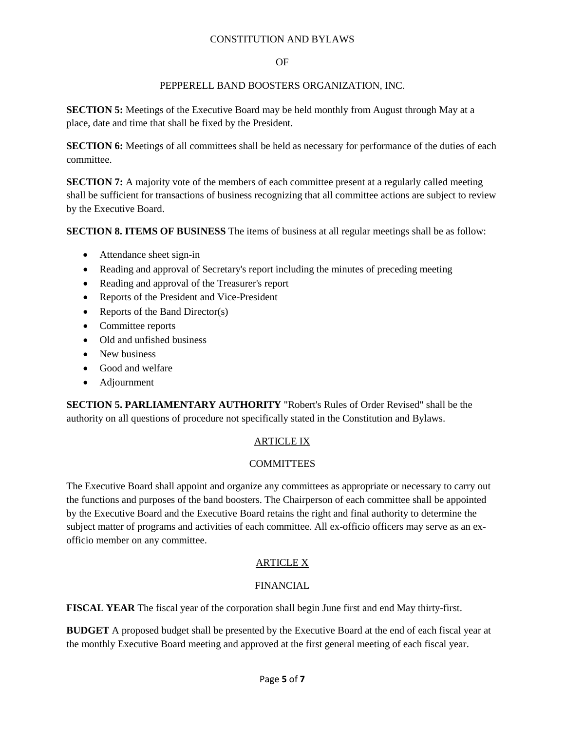### OF

## PEPPERELL BAND BOOSTERS ORGANIZATION, INC.

**SECTION 5:** Meetings of the Executive Board may be held monthly from August through May at a place, date and time that shall be fixed by the President.

**SECTION 6:** Meetings of all committees shall be held as necessary for performance of the duties of each committee.

**SECTION 7:** A majority vote of the members of each committee present at a regularly called meeting shall be sufficient for transactions of business recognizing that all committee actions are subject to review by the Executive Board.

**SECTION 8. ITEMS OF BUSINESS** The items of business at all regular meetings shall be as follow:

- Attendance sheet sign-in
- Reading and approval of Secretary's report including the minutes of preceding meeting
- Reading and approval of the Treasurer's report
- Reports of the President and Vice-President
- Reports of the Band Director(s)
- Committee reports
- Old and unfished business
- New business
- Good and welfare
- Adjournment

**SECTION 5. PARLIAMENTARY AUTHORITY** "Robert's Rules of Order Revised" shall be the authority on all questions of procedure not specifically stated in the Constitution and Bylaws.

# ARTICLE IX

# **COMMITTEES**

The Executive Board shall appoint and organize any committees as appropriate or necessary to carry out the functions and purposes of the band boosters. The Chairperson of each committee shall be appointed by the Executive Board and the Executive Board retains the right and final authority to determine the subject matter of programs and activities of each committee. All ex-officio officers may serve as an exofficio member on any committee.

# ARTICLE X

# FINANCIAL

**FISCAL YEAR** The fiscal year of the corporation shall begin June first and end May thirty-first.

**BUDGET** A proposed budget shall be presented by the Executive Board at the end of each fiscal year at the monthly Executive Board meeting and approved at the first general meeting of each fiscal year.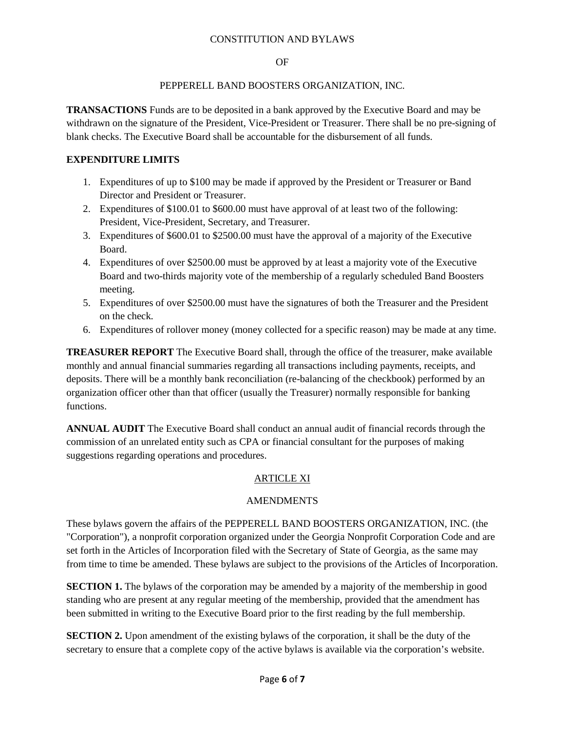#### OF

### PEPPERELL BAND BOOSTERS ORGANIZATION, INC.

**TRANSACTIONS** Funds are to be deposited in a bank approved by the Executive Board and may be withdrawn on the signature of the President, Vice-President or Treasurer. There shall be no pre-signing of blank checks. The Executive Board shall be accountable for the disbursement of all funds.

### **EXPENDITURE LIMITS**

- 1. Expenditures of up to \$100 may be made if approved by the President or Treasurer or Band Director and President or Treasurer.
- 2. Expenditures of \$100.01 to \$600.00 must have approval of at least two of the following: President, Vice-President, Secretary, and Treasurer.
- 3. Expenditures of \$600.01 to \$2500.00 must have the approval of a majority of the Executive Board.
- 4. Expenditures of over \$2500.00 must be approved by at least a majority vote of the Executive Board and two-thirds majority vote of the membership of a regularly scheduled Band Boosters meeting.
- 5. Expenditures of over \$2500.00 must have the signatures of both the Treasurer and the President on the check.
- 6. Expenditures of rollover money (money collected for a specific reason) may be made at any time.

**TREASURER REPORT** The Executive Board shall, through the office of the treasurer, make available monthly and annual financial summaries regarding all transactions including payments, receipts, and deposits. There will be a monthly bank reconciliation (re-balancing of the checkbook) performed by an organization officer other than that officer (usually the Treasurer) normally responsible for banking functions.

**ANNUAL AUDIT** The Executive Board shall conduct an annual audit of financial records through the commission of an unrelated entity such as CPA or financial consultant for the purposes of making suggestions regarding operations and procedures.

# ARTICLE XI

### AMENDMENTS

These bylaws govern the affairs of the PEPPERELL BAND BOOSTERS ORGANIZATION, INC. (the "Corporation"), a nonprofit corporation organized under the Georgia Nonprofit Corporation Code and are set forth in the Articles of Incorporation filed with the Secretary of State of Georgia, as the same may from time to time be amended. These bylaws are subject to the provisions of the Articles of Incorporation.

**SECTION 1.** The bylaws of the corporation may be amended by a majority of the membership in good standing who are present at any regular meeting of the membership, provided that the amendment has been submitted in writing to the Executive Board prior to the first reading by the full membership.

**SECTION 2.** Upon amendment of the existing bylaws of the corporation, it shall be the duty of the secretary to ensure that a complete copy of the active bylaws is available via the corporation's website.